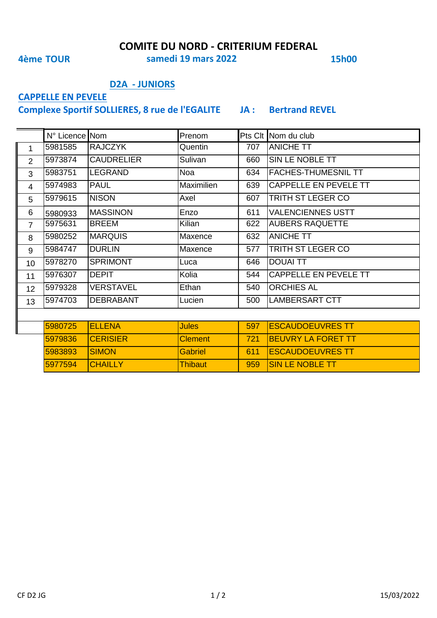**COMITE DU NORD - CRITERIUM FEDERAL**

**4ème TOUR 15h00 samedi 19 mars 2022**

### **D2A - JUNIORS**

# **CAPPELLE EN PEVELE**

**Complexe Sportif SOLLIERES, 8 rue de l'EGALITE JA : Bertrand REVEL**

|                | N° Licence Nom |                   | Prenom       |     | Pts Clt Nom du club        |
|----------------|----------------|-------------------|--------------|-----|----------------------------|
|                | 5981585        | <b>RAJCZYK</b>    | Quentin      | 707 | <b>ANICHE TT</b>           |
| $\overline{2}$ | 5973874        | <b>CAUDRELIER</b> | Sulivan      | 660 | SIN LE NOBLE TT            |
| 3              | 5983751        | <b>LEGRAND</b>    | <b>Noa</b>   | 634 | <b>FACHES-THUMESNIL TT</b> |
| 4              | 5974983        | <b>PAUL</b>       | Maximilien   | 639 | CAPPELLE EN PEVELE TT      |
| 5              | 5979615        | <b>NISON</b>      | Axel         | 607 | TRITH ST LEGER CO          |
| 6              | 5980933        | <b>MASSINON</b>   | Enzo         | 611 | <b>VALENCIENNES USTT</b>   |
| $\overline{7}$ | 5975631        | <b>BREEM</b>      | Kilian       | 622 | <b>AUBERS RAQUETTE</b>     |
| 8              | 5980252        | <b>MARQUIS</b>    | Maxence      | 632 | <b>ANICHE TT</b>           |
| 9              | 5984747        | <b>DURLIN</b>     | Maxence      | 577 | TRITH ST LEGER CO          |
| 10             | 5978270        | <b>SPRIMONT</b>   | Luca         | 646 | <b>DOUAI TT</b>            |
| 11             | 5976307        | <b>DEPIT</b>      | Kolia        | 544 | CAPPELLE EN PEVELE TT      |
| 12             | 5979328        | <b>VERSTAVEL</b>  | Ethan        | 540 | <b>ORCHIES AL</b>          |
| 13             | 5974703        | <b>DEBRABANT</b>  | Lucien       | 500 | <b>LAMBERSART CTT</b>      |
|                |                |                   |              |     |                            |
|                | 5980725        | <b>ELLENA</b>     | <b>Jules</b> | 597 | <b>ESCAUDOEUVRES TT</b>    |

| 15980725 | <b>IFLIFNA</b>   | Jules           |            | 597 IESCAUDOEUVRES TT      |
|----------|------------------|-----------------|------------|----------------------------|
| 5979836  | <b>ICFRISIER</b> | <b>IClement</b> | 721        | <b>IBEUVRY LA FORET TT</b> |
| 15983893 | <b>ISIMON</b>    | <b>IGabriel</b> | <b>611</b> | <b>IESCAUDOEUVRES TT</b>   |
| 5977594  | <b>ICHAILLY</b>  | IThibautl       | 959        | <b>ISIN LE NOBLE TT</b>    |